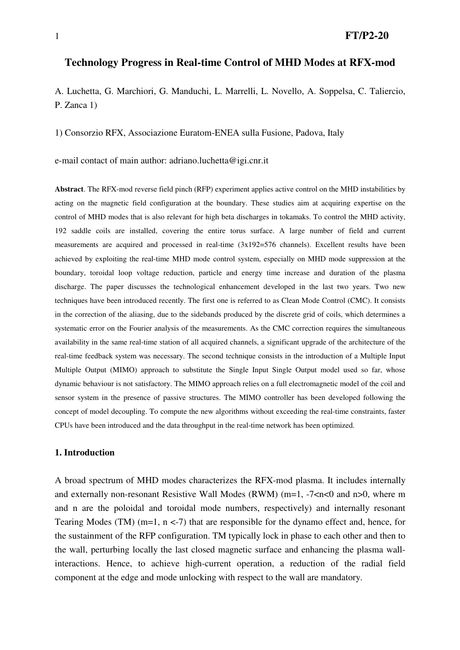1 **FT/P2-20** 

# **Technology Progress in Real-time Control of MHD Modes at RFX-mod**

A. Luchetta, G. Marchiori, G. Manduchi, L. Marrelli, L. Novello, A. Soppelsa, C. Taliercio, P. Zanca 1)

1) Consorzio RFX, Associazione Euratom-ENEA sulla Fusione, Padova, Italy

e-mail contact of main author: adriano.luchetta@igi.cnr.it

**Abstract**. The RFX-mod reverse field pinch (RFP) experiment applies active control on the MHD instabilities by acting on the magnetic field configuration at the boundary. These studies aim at acquiring expertise on the control of MHD modes that is also relevant for high beta discharges in tokamaks. To control the MHD activity, 192 saddle coils are installed, covering the entire torus surface. A large number of field and current measurements are acquired and processed in real-time (3x192=576 channels). Excellent results have been achieved by exploiting the real-time MHD mode control system, especially on MHD mode suppression at the boundary, toroidal loop voltage reduction, particle and energy time increase and duration of the plasma discharge. The paper discusses the technological enhancement developed in the last two years. Two new techniques have been introduced recently. The first one is referred to as Clean Mode Control (CMC). It consists in the correction of the aliasing, due to the sidebands produced by the discrete grid of coils, which determines a systematic error on the Fourier analysis of the measurements. As the CMC correction requires the simultaneous availability in the same real-time station of all acquired channels, a significant upgrade of the architecture of the real-time feedback system was necessary. The second technique consists in the introduction of a Multiple Input Multiple Output (MIMO) approach to substitute the Single Input Single Output model used so far, whose dynamic behaviour is not satisfactory. The MIMO approach relies on a full electromagnetic model of the coil and sensor system in the presence of passive structures. The MIMO controller has been developed following the concept of model decoupling. To compute the new algorithms without exceeding the real-time constraints, faster CPUs have been introduced and the data throughput in the real-time network has been optimized.

#### **1. Introduction**

A broad spectrum of MHD modes characterizes the RFX-mod plasma. It includes internally and externally non-resonant Resistive Wall Modes (RWM) (m=1,  $-7 < n < 0$  and n>0, where m and n are the poloidal and toroidal mode numbers, respectively) and internally resonant Tearing Modes (TM) (m=1,  $n \le -7$ ) that are responsible for the dynamo effect and, hence, for the sustainment of the RFP configuration. TM typically lock in phase to each other and then to the wall, perturbing locally the last closed magnetic surface and enhancing the plasma wallinteractions. Hence, to achieve high-current operation, a reduction of the radial field component at the edge and mode unlocking with respect to the wall are mandatory.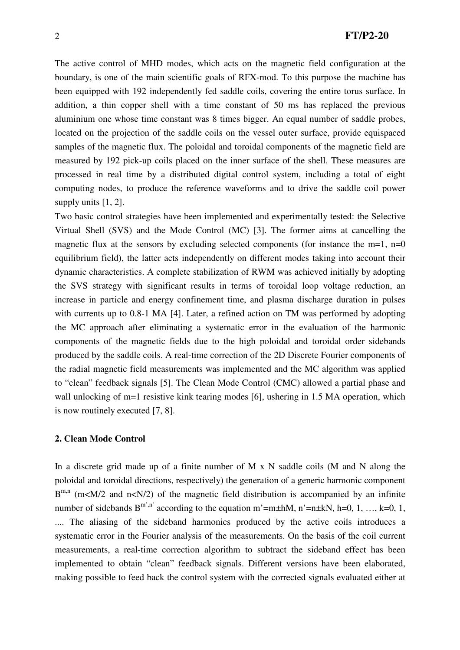The active control of MHD modes, which acts on the magnetic field configuration at the boundary, is one of the main scientific goals of RFX-mod. To this purpose the machine has been equipped with 192 independently fed saddle coils, covering the entire torus surface. In addition, a thin copper shell with a time constant of 50 ms has replaced the previous aluminium one whose time constant was 8 times bigger. An equal number of saddle probes, located on the projection of the saddle coils on the vessel outer surface, provide equispaced samples of the magnetic flux. The poloidal and toroidal components of the magnetic field are measured by 192 pick-up coils placed on the inner surface of the shell. These measures are processed in real time by a distributed digital control system, including a total of eight computing nodes, to produce the reference waveforms and to drive the saddle coil power supply units [1, 2].

Two basic control strategies have been implemented and experimentally tested: the Selective Virtual Shell (SVS) and the Mode Control (MC) [3]. The former aims at cancelling the magnetic flux at the sensors by excluding selected components (for instance the m=1,  $n=0$ ) equilibrium field), the latter acts independently on different modes taking into account their dynamic characteristics. A complete stabilization of RWM was achieved initially by adopting the SVS strategy with significant results in terms of toroidal loop voltage reduction, an increase in particle and energy confinement time, and plasma discharge duration in pulses with currents up to 0.8-1 MA [4]. Later, a refined action on TM was performed by adopting the MC approach after eliminating a systematic error in the evaluation of the harmonic components of the magnetic fields due to the high poloidal and toroidal order sidebands produced by the saddle coils. A real-time correction of the 2D Discrete Fourier components of the radial magnetic field measurements was implemented and the MC algorithm was applied to "clean" feedback signals [5]. The Clean Mode Control (CMC) allowed a partial phase and wall unlocking of m=1 resistive kink tearing modes [6], ushering in 1.5 MA operation, which is now routinely executed [7, 8].

#### **2. Clean Mode Control**

In a discrete grid made up of a finite number of  $M \times N$  saddle coils (M and N along the poloidal and toroidal directions, respectively) the generation of a generic harmonic component  $B^{m,n}$  (m<M/2 and n<N/2) of the magnetic field distribution is accompanied by an infinite number of sidebands  $B^{m',n'}$  according to the equation m'=m±hM, n'=n±kN, h=0, 1, …, k=0, 1, .... The aliasing of the sideband harmonics produced by the active coils introduces a systematic error in the Fourier analysis of the measurements. On the basis of the coil current measurements, a real-time correction algorithm to subtract the sideband effect has been implemented to obtain "clean" feedback signals. Different versions have been elaborated, making possible to feed back the control system with the corrected signals evaluated either at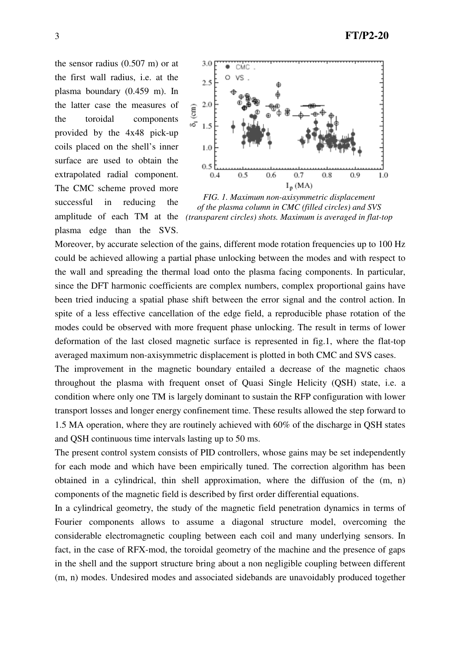the sensor radius (0.507 m) or at the first wall radius, i.e. at the plasma boundary (0.459 m). In the latter case the measures of the toroidal components provided by the 4x48 pick-up coils placed on the shell's inner surface are used to obtain the extrapolated radial component. The CMC scheme proved more successful in reducing the plasma edge than the SVS.



amplitude of each TM at the *(transparent circles) shots. Maximum is averaged in flat-topFIG. 1. Maximum non-axisymmetric displacement of the plasma column in CMC (filled circles) and SVS* 

Moreover, by accurate selection of the gains, different mode rotation frequencies up to 100 Hz could be achieved allowing a partial phase unlocking between the modes and with respect to the wall and spreading the thermal load onto the plasma facing components. In particular, since the DFT harmonic coefficients are complex numbers, complex proportional gains have been tried inducing a spatial phase shift between the error signal and the control action. In spite of a less effective cancellation of the edge field, a reproducible phase rotation of the modes could be observed with more frequent phase unlocking. The result in terms of lower deformation of the last closed magnetic surface is represented in fig.1, where the flat-top averaged maximum non-axisymmetric displacement is plotted in both CMC and SVS cases.

The improvement in the magnetic boundary entailed a decrease of the magnetic chaos throughout the plasma with frequent onset of Quasi Single Helicity (QSH) state, i.e. a condition where only one TM is largely dominant to sustain the RFP configuration with lower transport losses and longer energy confinement time. These results allowed the step forward to 1.5 MA operation, where they are routinely achieved with 60% of the discharge in QSH states and QSH continuous time intervals lasting up to 50 ms.

The present control system consists of PID controllers, whose gains may be set independently for each mode and which have been empirically tuned. The correction algorithm has been obtained in a cylindrical, thin shell approximation, where the diffusion of the (m, n) components of the magnetic field is described by first order differential equations.

In a cylindrical geometry, the study of the magnetic field penetration dynamics in terms of Fourier components allows to assume a diagonal structure model, overcoming the considerable electromagnetic coupling between each coil and many underlying sensors. In fact, in the case of RFX-mod, the toroidal geometry of the machine and the presence of gaps in the shell and the support structure bring about a non negligible coupling between different (m, n) modes. Undesired modes and associated sidebands are unavoidably produced together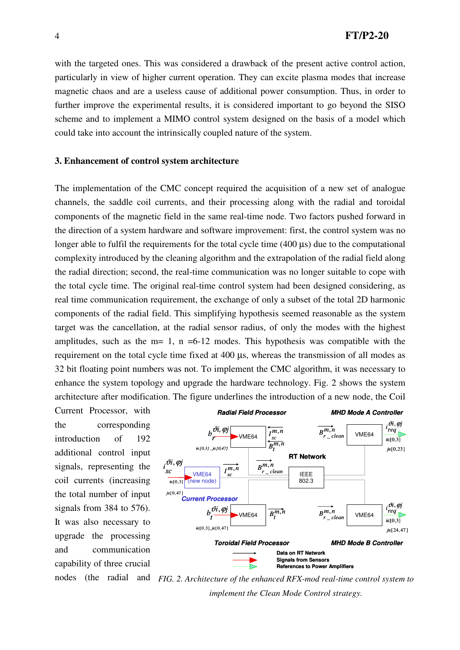with the targeted ones. This was considered a drawback of the present active control action, particularly in view of higher current operation. They can excite plasma modes that increase magnetic chaos and are a useless cause of additional power consumption. Thus, in order to further improve the experimental results, it is considered important to go beyond the SISO scheme and to implement a MIMO control system designed on the basis of a model which could take into account the intrinsically coupled nature of the system.

#### **3. Enhancement of control system architecture**

The implementation of the CMC concept required the acquisition of a new set of analogue channels, the saddle coil currents, and their processing along with the radial and toroidal components of the magnetic field in the same real-time node. Two factors pushed forward in the direction of a system hardware and software improvement: first, the control system was no longer able to fulfil the requirements for the total cycle time (400  $\mu$ s) due to the computational complexity introduced by the cleaning algorithm and the extrapolation of the radial field along the radial direction; second, the real-time communication was no longer suitable to cope with the total cycle time. The original real-time control system had been designed considering, as real time communication requirement, the exchange of only a subset of the total 2D harmonic components of the radial field. This simplifying hypothesis seemed reasonable as the system target was the cancellation, at the radial sensor radius, of only the modes with the highest amplitudes, such as the  $m= 1$ ,  $n = 6-12$  modes. This hypothesis was compatible with the requirement on the total cycle time fixed at 400 µs, whereas the transmission of all modes as 32 bit floating point numbers was not. To implement the CMC algorithm, it was necessary to enhance the system topology and upgrade the hardware technology. Fig. 2 shows the system architecture after modification. The figure underlines the introduction of a new node, the Coil

Current Processor, with the corresponding introduction of 192 additional control input signals, representing the coil currents (increasing the total number of input signals from 384 to 576). It was also necessary to upgrade the processing and communication capability of three crucial



nodes (the radial and *FIG. 2. Architecture of the enhanced RFX-mod real-time control system to implement the Clean Mode Control strategy.*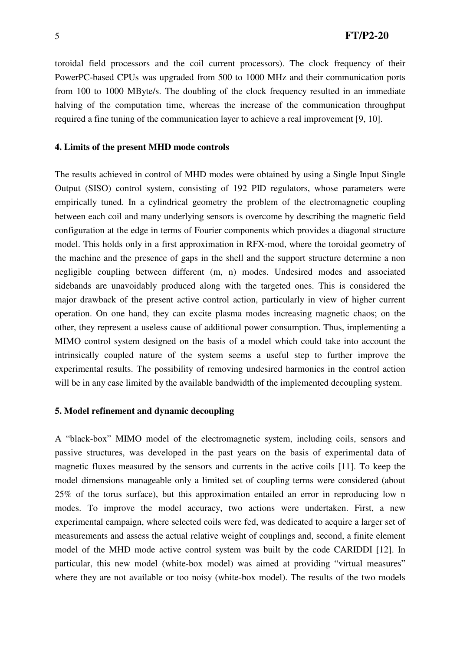toroidal field processors and the coil current processors). The clock frequency of their PowerPC-based CPUs was upgraded from 500 to 1000 MHz and their communication ports from 100 to 1000 MByte/s. The doubling of the clock frequency resulted in an immediate halving of the computation time, whereas the increase of the communication throughput required a fine tuning of the communication layer to achieve a real improvement [9, 10].

#### **4. Limits of the present MHD mode controls**

The results achieved in control of MHD modes were obtained by using a Single Input Single Output (SISO) control system, consisting of 192 PID regulators, whose parameters were empirically tuned. In a cylindrical geometry the problem of the electromagnetic coupling between each coil and many underlying sensors is overcome by describing the magnetic field configuration at the edge in terms of Fourier components which provides a diagonal structure model. This holds only in a first approximation in RFX-mod, where the toroidal geometry of the machine and the presence of gaps in the shell and the support structure determine a non negligible coupling between different (m, n) modes. Undesired modes and associated sidebands are unavoidably produced along with the targeted ones. This is considered the major drawback of the present active control action, particularly in view of higher current operation. On one hand, they can excite plasma modes increasing magnetic chaos; on the other, they represent a useless cause of additional power consumption. Thus, implementing a MIMO control system designed on the basis of a model which could take into account the intrinsically coupled nature of the system seems a useful step to further improve the experimental results. The possibility of removing undesired harmonics in the control action will be in any case limited by the available bandwidth of the implemented decoupling system.

# **5. Model refinement and dynamic decoupling**

A "black-box" MIMO model of the electromagnetic system, including coils, sensors and passive structures, was developed in the past years on the basis of experimental data of magnetic fluxes measured by the sensors and currents in the active coils [11]. To keep the model dimensions manageable only a limited set of coupling terms were considered (about 25% of the torus surface), but this approximation entailed an error in reproducing low n modes. To improve the model accuracy, two actions were undertaken. First, a new experimental campaign, where selected coils were fed, was dedicated to acquire a larger set of measurements and assess the actual relative weight of couplings and, second, a finite element model of the MHD mode active control system was built by the code CARIDDI [12]. In particular, this new model (white-box model) was aimed at providing "virtual measures" where they are not available or too noisy (white-box model). The results of the two models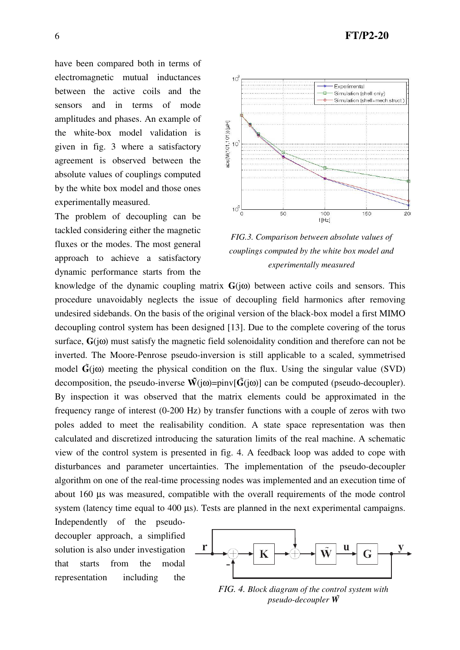have been compared both in terms of electromagnetic mutual inductances between the active coils and the sensors and in terms of mode amplitudes and phases. An example of the white-box model validation is given in fig. 3 where a satisfactory agreement is observed between the absolute values of couplings computed by the white box model and those ones experimentally measured.

The problem of decoupling can be tackled considering either the magnetic fluxes or the modes. The most general approach to achieve a satisfactory dynamic performance starts from the



*FIG.3. Comparison between absolute values of couplings computed by the white box model and experimentally measured* 

knowledge of the dynamic coupling matrix  $\mathbf{G}(i\omega)$  between active coils and sensors. This procedure unavoidably neglects the issue of decoupling field harmonics after removing undesired sidebands. On the basis of the original version of the black-box model a first MIMO decoupling control system has been designed [13]. Due to the complete covering of the torus surface, **G**(jω) must satisfy the magnetic field solenoidality condition and therefore can not be inverted. The Moore-Penrose pseudo-inversion is still applicable to a scaled, symmetrised model  $\tilde{G}(i\omega)$  meeting the physical condition on the flux. Using the singular value (SVD) decomposition, the pseudo-inverse  $\tilde{W}(j\omega) = \text{pinv}[\tilde{G}(j\omega)]$  can be computed (pseudo-decoupler). By inspection it was observed that the matrix elements could be approximated in the frequency range of interest (0-200 Hz) by transfer functions with a couple of zeros with two poles added to meet the realisability condition. A state space representation was then calculated and discretized introducing the saturation limits of the real machine. A schematic view of the control system is presented in fig. 4. A feedback loop was added to cope with disturbances and parameter uncertainties. The implementation of the pseudo-decoupler algorithm on one of the real-time processing nodes was implemented and an execution time of about 160 µs was measured, compatible with the overall requirements of the mode control system (latency time equal to 400 µs). Tests are planned in the next experimental campaigns.

Independently of the pseudodecoupler approach, a simplified solution is also under investigation that starts from the modal representation including the



*FIG. 4. Block diagram of the control system with pseudo-decoupler W*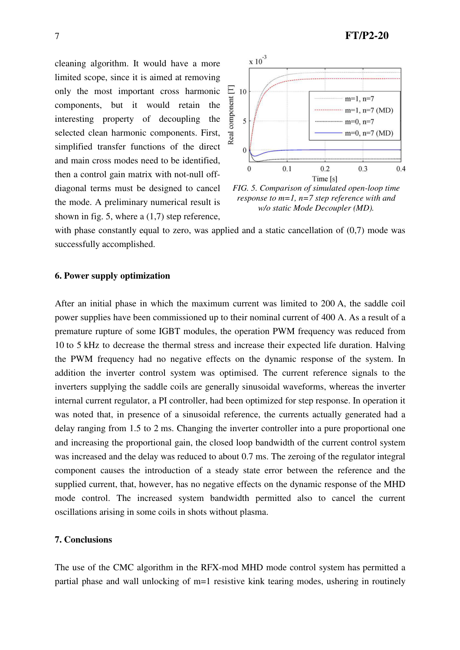cleaning algorithm. It would have a more limited scope, since it is aimed at removing only the most important cross harmonic components, but it would retain the interesting property of decoupling the selected clean harmonic components. First, simplified transfer functions of the direct and main cross modes need to be identified, then a control gain matrix with not-null offdiagonal terms must be designed to cancel the mode. A preliminary numerical result is shown in fig. 5, where a (1,7) step reference,



*FIG. 5. Comparison of simulated open-loop time response to m=1, n=7 step reference with and w/o static Mode Decoupler (MD).* 

with phase constantly equal to zero, was applied and a static cancellation of  $(0,7)$  mode was successfully accomplished.

# **6. Power supply optimization**

After an initial phase in which the maximum current was limited to 200 A, the saddle coil power supplies have been commissioned up to their nominal current of 400 A. As a result of a premature rupture of some IGBT modules, the operation PWM frequency was reduced from 10 to 5 kHz to decrease the thermal stress and increase their expected life duration. Halving the PWM frequency had no negative effects on the dynamic response of the system. In addition the inverter control system was optimised. The current reference signals to the inverters supplying the saddle coils are generally sinusoidal waveforms, whereas the inverter internal current regulator, a PI controller, had been optimized for step response. In operation it was noted that, in presence of a sinusoidal reference, the currents actually generated had a delay ranging from 1.5 to 2 ms. Changing the inverter controller into a pure proportional one and increasing the proportional gain, the closed loop bandwidth of the current control system was increased and the delay was reduced to about 0.7 ms. The zeroing of the regulator integral component causes the introduction of a steady state error between the reference and the supplied current, that, however, has no negative effects on the dynamic response of the MHD mode control. The increased system bandwidth permitted also to cancel the current oscillations arising in some coils in shots without plasma.

### **7. Conclusions**

The use of the CMC algorithm in the RFX-mod MHD mode control system has permitted a partial phase and wall unlocking of m=1 resistive kink tearing modes, ushering in routinely